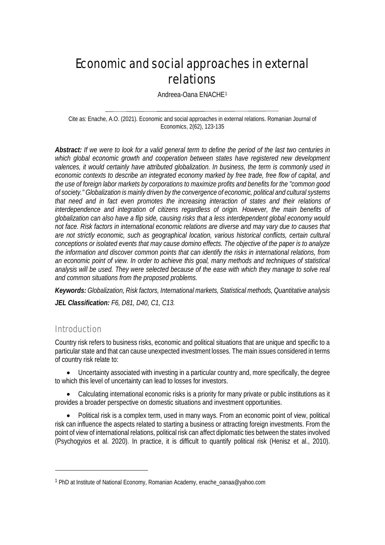# Economic and social approaches in external relations

Andreea-Oana ENACHE[1](#page-0-0)

Cite as: Enache, A.O. (2021). Economic and social approaches in external relations. Romanian Journal of Economics, 2(62), 123-135

*Abstract: If we were to look for a valid general term to define the period of the last two centuries in*  which global economic growth and cooperation between states have registered new development *valences, it would certainly have attributed globalization. In business, the term is commonly used in economic contexts to describe an integrated economy marked by free trade, free flow of capital, and the use of foreign labor markets by corporations to maximize profits and benefits for the "common good of society." Globalization is mainly driven by the convergence of economic, political and cultural systems that need and in fact even promotes the increasing interaction of states and their relations of interdependence and integration of citizens regardless of origin. However, the main benefits of globalization can also have a flip side, causing risks that a less interdependent global economy would not face. Risk factors in international economic relations are diverse and may vary due to causes that are not strictly economic, such as geographical location, various historical conflicts, certain cultural conceptions or isolated events that may cause domino effects. The objective of the paper is to analyze the information and discover common points that can identify the risks in international relations, from an economic point of view. In order to achieve this goal, many methods and techniques of statistical analysis will be used. They were selected because of the ease with which they manage to solve real and common situations from the proposed problems.*

*Keywords: Globalization, Risk factors, International markets, Statistical methods, Quantitative analysis JEL Classification: F6, D81, D40, C1, C13.*

## Introduction

 $\overline{a}$ 

Country risk refers to business risks, economic and political situations that are unique and specific to a particular state and that can cause unexpected investment losses. The main issues considered in terms of country risk relate to:

• Uncertainty associated with investing in a particular country and, more specifically, the degree to which this level of uncertainty can lead to losses for investors.

• Calculating international economic risks is a priority for many private or public institutions as it provides a broader perspective on domestic situations and investment opportunities.

• Political risk is a complex term, used in many ways. From an economic point of view, political risk can influence the aspects related to starting a business or attracting foreign investments. From the point of view of international relations, political risk can affect diplomatic ties between the states involved (Psychogyios et al. 2020). In practice, it is difficult to quantify political risk (Henisz et al., 2010).

<span id="page-0-0"></span><sup>1</sup> PhD at Institute of National Economy, Romanian Academy, enache\_oanaa@yahoo.com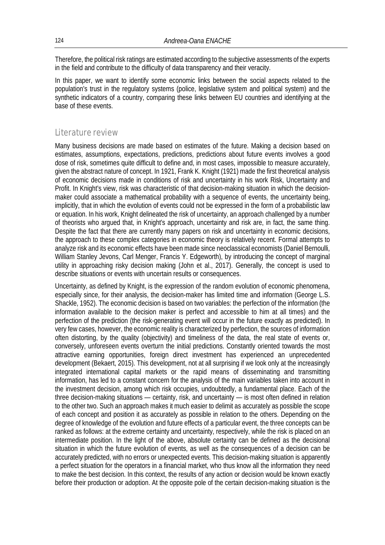Therefore, the political risk ratings are estimated according to the subjective assessments of the experts in the field and contribute to the difficulty of data transparency and their veracity.

In this paper, we want to identify some economic links between the social aspects related to the population's trust in the regulatory systems (police, legislative system and political system) and the synthetic indicators of a country, comparing these links between EU countries and identifying at the base of these events.

# Literature review

Many business decisions are made based on estimates of the future. Making a decision based on estimates, assumptions, expectations, predictions, predictions about future events involves a good dose of risk, sometimes quite difficult to define and, in most cases, impossible to measure accurately, given the abstract nature of concept. In 1921, Frank K. Knight (1921) made the first theoretical analysis of economic decisions made in conditions of risk and uncertainty in his work Risk, Uncertainty and Profit. In Knight's view, risk was characteristic of that decision-making situation in which the decisionmaker could associate a mathematical probability with a sequence of events, the uncertainty being, implicitly, that in which the evolution of events could not be expressed in the form of a probabilistic law or equation. In his work, Knight delineated the risk of uncertainty, an approach challenged by a number of theorists who argued that, in Knight's approach, uncertainty and risk are, in fact, the same thing. Despite the fact that there are currently many papers on risk and uncertainty in economic decisions, the approach to these complex categories in economic theory is relatively recent. Formal attempts to analyze risk and its economic effects have been made since neoclassical economists (Daniel Bernoulli, William Stanley Jevons, Carl Menger, Francis Y. Edgeworth), by introducing the concept of marginal utility in approaching risky decision making (John et al., 2017). Generally, the concept is used to describe situations or events with uncertain results or consequences.

Uncertainty, as defined by Knight, is the expression of the random evolution of economic phenomena, especially since, for their analysis, the decision-maker has limited time and information (George L.S. Shackle, 1952). The economic decision is based on two variables: the perfection of the information (the information available to the decision maker is perfect and accessible to him at all times) and the perfection of the prediction (the risk-generating event will occur in the future exactly as predicted). In very few cases, however, the economic reality is characterized by perfection, the sources of information often distorting, by the quality (objectivity) and timeliness of the data, the real state of events or, conversely, unforeseen events overturn the initial predictions. Constantly oriented towards the most attractive earning opportunities, foreign direct investment has experienced an unprecedented development (Bekaert, 2015). This development, not at all surprising if we look only at the increasingly integrated international capital markets or the rapid means of disseminating and transmitting information, has led to a constant concern for the analysis of the main variables taken into account in the investment decision, among which risk occupies, undoubtedly, a fundamental place. Each of the three decision-making situations — certainty, risk, and uncertainty — is most often defined in relation to the other two. Such an approach makes it much easier to delimit as accurately as possible the scope of each concept and position it as accurately as possible in relation to the others. Depending on the degree of knowledge of the evolution and future effects of a particular event, the three concepts can be ranked as follows: at the extreme certainty and uncertainty, respectively, while the risk is placed on an intermediate position. In the light of the above, absolute certainty can be defined as the decisional situation in which the future evolution of events, as well as the consequences of a decision can be accurately predicted, with no errors or unexpected events. This decision-making situation is apparently a perfect situation for the operators in a financial market, who thus know all the information they need to make the best decision. In this context, the results of any action or decision would be known exactly before their production or adoption. At the opposite pole of the certain decision-making situation is the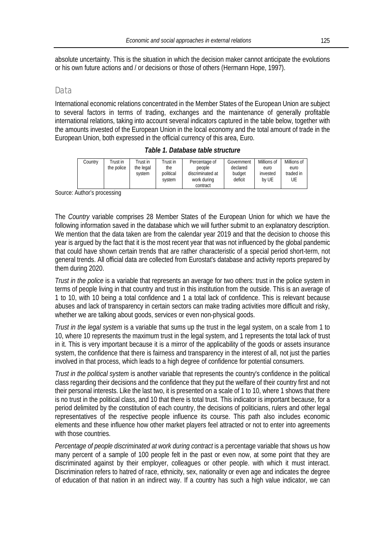absolute uncertainty. This is the situation in which the decision maker cannot anticipate the evolutions or his own future actions and / or decisions or those of others (Hermann Hope, 1997).

## **Data**

International economic relations concentrated in the Member States of the European Union are subject to several factors in terms of trading, exchanges and the maintenance of generally profitable international relations, taking into account several indicators captured in the table below, together with the amounts invested of the European Union in the local economy and the total amount of trade in the European Union, both expressed in the official currency of this area, Euro.

| Table 1. Database table structure |  |  |  |  |  |
|-----------------------------------|--|--|--|--|--|
|-----------------------------------|--|--|--|--|--|

| Country | Trust in   | Trust in            | Trust in                   | Percentage of                                         | Government                    | Millions of               | Millions of             |
|---------|------------|---------------------|----------------------------|-------------------------------------------------------|-------------------------------|---------------------------|-------------------------|
|         | the police | the legal<br>system | the<br>political<br>system | people<br>discriminated at<br>work during<br>contract | declared<br>budget<br>deficit | euro<br>invested<br>by UE | euro<br>traded in<br>UE |

Source: Author's processing

The *Country* variable comprises 28 Member States of the European Union for which we have the following information saved in the database which we will further submit to an explanatory description. We mention that the data taken are from the calendar year 2019 and that the decision to choose this year is argued by the fact that it is the most recent year that was not influenced by the global pandemic that could have shown certain trends that are rather characteristic of a special period short-term, not general trends. All official data are collected from Eurostat's database and activity reports prepared by them during 2020.

*Trust in the police* is a variable that represents an average for two others: trust in the police system in terms of people living in that country and trust in this institution from the outside. This is an average of 1 to 10, with 10 being a total confidence and 1 a total lack of confidence. This is relevant because abuses and lack of transparency in certain sectors can make trading activities more difficult and risky, whether we are talking about goods, services or even non-physical goods.

*Trust in the legal system* is a variable that sums up the trust in the legal system, on a scale from 1 to 10, where 10 represents the maximum trust in the legal system, and 1 represents the total lack of trust in it. This is very important because it is a mirror of the applicability of the goods or assets insurance system, the confidence that there is fairness and transparency in the interest of all, not just the parties involved in that process, which leads to a high degree of confidence for potential consumers.

*Trust in the political system* is another variable that represents the country's confidence in the political class regarding their decisions and the confidence that they put the welfare of their country first and not their personal interests. Like the last two, it is presented on a scale of 1 to 10, where 1 shows that there is no trust in the political class, and 10 that there is total trust. This indicator is important because, for a period delimited by the constitution of each country, the decisions of politicians, rulers and other legal representatives of the respective people influence its course. This path also includes economic elements and these influence how other market players feel attracted or not to enter into agreements with those countries.

*Percentage of people discriminated at work during contract* is a percentage variable that shows us how many percent of a sample of 100 people felt in the past or even now, at some point that they are discriminated against by their employer, colleagues or other people. with which it must interact. Discrimination refers to hatred of race, ethnicity, sex, nationality or even age and indicates the degree of education of that nation in an indirect way. If a country has such a high value indicator, we can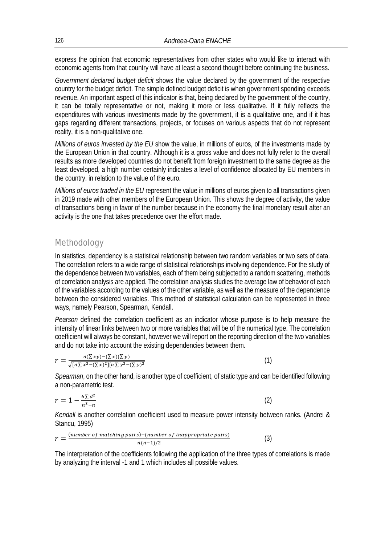express the opinion that economic representatives from other states who would like to interact with economic agents from that country will have at least a second thought before continuing the business.

*Government declared budget deficit* shows the value declared by the government of the respective country for the budget deficit. The simple defined budget deficit is when government spending exceeds revenue. An important aspect of this indicator is that, being declared by the government of the country, it can be totally representative or not, making it more or less qualitative. If it fully reflects the expenditures with various investments made by the government, it is a qualitative one, and if it has gaps regarding different transactions, projects, or focuses on various aspects that do not represent reality, it is a non-qualitative one.

*Millions of euros invested by the EU* show the value, in millions of euros, of the investments made by the European Union in that country. Although it is a gross value and does not fully refer to the overall results as more developed countries do not benefit from foreign investment to the same degree as the least developed, a high number certainly indicates a level of confidence allocated by EU members in the country. in relation to the value of the euro.

*Millions of euros traded in the EU* represent the value in millions of euros given to all transactions given in 2019 made with other members of the European Union. This shows the degree of activity, the value of transactions being in favor of the number because in the economy the final monetary result after an activity is the one that takes precedence over the effort made.

# Methodology

In statistics, dependency is a statistical relationship between two random variables or two sets of data. The correlation refers to a wide range of statistical relationships involving dependence. For the study of the dependence between two variables, each of them being subjected to a random scattering, methods of correlation analysis are applied. The correlation analysis studies the average law of behavior of each of the variables according to the values of the other variable, as well as the measure of the dependence between the considered variables. This method of statistical calculation can be represented in three ways, namely Pearson, Spearman, Kendall.

*Pearson* defined the correlation coefficient as an indicator whose purpose is to help measure the intensity of linear links between two or more variables that will be of the numerical type. The correlation coefficient will always be constant, however we will report on the reporting direction of the two variables and do not take into account the existing dependencies between them.

$$
r = \frac{n(\sum xy) - (\sum x)(\sum y)}{\sqrt{[n\sum x^2 - (\sum x)^2][n\sum y^2 - (\sum y)^2]}}\tag{1}
$$

*Spearman*, on the other hand, is another type of coefficient, of static type and can be identified following a non-parametric test.

$$
r = 1 - \frac{6\sum d^2}{n^3 - n} \tag{2}
$$

*Kendall* is another correlation coefficient used to measure power intensity between ranks. (Andrei & Stancu, 1995)

$$
r = \frac{(number\ of\ matching\ pairs)-(number\ of\ inappropriate\ pairs)}{n(n-1)/2}
$$
\n(3)

The interpretation of the coefficients following the application of the three types of correlations is made by analyzing the interval -1 and 1 which includes all possible values.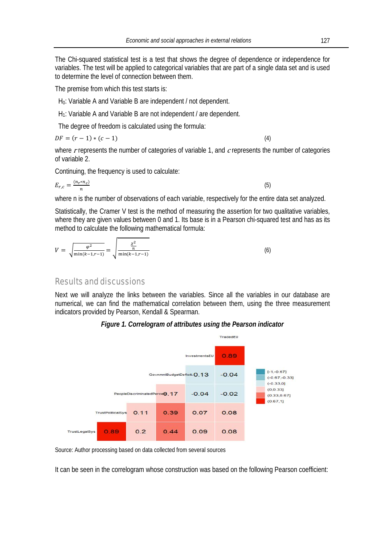The Chi-squared statistical test is a test that shows the degree of dependence or independence for variables. The test will be applied to categorical variables that are part of a single data set and is used to determine the level of connection between them.

The premise from which this test starts is:

H<sub>0</sub>: Variable A and Variable B are independent / not dependent.

H<sub>1</sub>: Variable A and Variable B are not independent / are dependent.

The degree of freedom is calculated using the formula:

$$
DF = (r - 1) * (c - 1)
$$
 (4)

where r represents the number of categories of variable 1, and  $c$  represents the number of categories of variable 2.

Continuing, the frequency is used to calculate:

$$
E_{r,c} = \frac{(n_r * n_c)}{n} \tag{5}
$$

where n is the number of observations of each variable, respectively for the entire data set analyzed.

Statistically, the Cramer V test is the method of measuring the assertion for two qualitative variables, where they are given values between 0 and 1. Its base is in a Pearson chi-squared test and has as its method to calculate the following mathematical formula:

$$
V = \sqrt{\frac{\varphi^2}{\min(k-1,r-1)}} = \sqrt{\frac{\frac{\chi^2}{n}}{\min(k-1,r-1)}}
$$
(6)

# Results and discussions

Next we will analyze the links between the variables. Since all the variables in our database are numerical, we can find the mathematical correlation between them, using the three measurement indicators provided by Pearson, Kendall & Spearman.

## *Figure 1. Correlogram of attributes using the Pearson indicator*



Source: Author processing based on data collected from several sources

It can be seen in the correlogram whose construction was based on the following Pearson coefficient: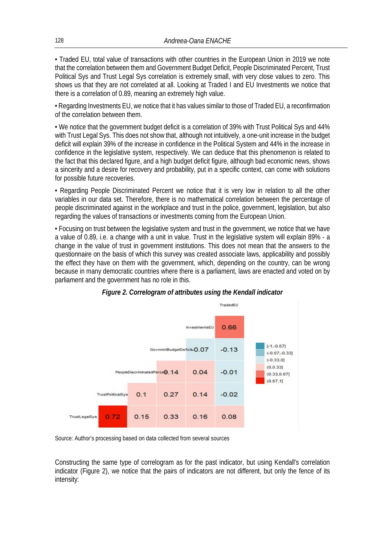• Traded EU, total value of transactions with other countries in the European Union in 2019 we note that the correlation between them and Government Budget Deficit, People Discriminated Percent, Trust Political Sys and Trust Legal Sys correlation is extremely small, with very close values to zero. This shows us that they are not correlated at all. Looking at Traded I and EU Investments we notice that there is a correlation of 0.89, meaning an extremely high value.

• Regarding Investments EU, we notice that it has values similar to those of Traded EU, a reconfirmation of the correlation between them.

• We notice that the government budget deficit is a correlation of 39% with Trust Political Sys and 44% with Trust Legal Sys. This does not show that, although not intuitively, a one-unit increase in the budget deficit will explain 39% of the increase in confidence in the Political System and 44% in the increase in confidence in the legislative system, respectively. We can deduce that this phenomenon is related to the fact that this declared figure, and a high budget deficit figure, although bad economic news, shows a sincerity and a desire for recovery and probability, put in a specific context, can come with solutions for possible future recoveries.

• Regarding People Discriminated Percent we notice that it is very low in relation to all the other variables in our data set. Therefore, there is no mathematical correlation between the percentage of people discriminated against in the workplace and trust in the police, government, legislation, but also regarding the values of transactions or investments coming from the European Union.

• Focusing on trust between the legislative system and trust in the government, we notice that we have a value of 0.89, i.e. a change with a unit in value. Trust in the legislative system will explain 89% - a change in the value of trust in government institutions. This does not mean that the answers to the questionnaire on the basis of which this survey was created associate laws, applicability and possibly the effect they have on them with the government, which, depending on the country, can be wrong because in many democratic countries where there is a parliament, laws are enacted and voted on by parliament and the government has no role in this.



*Figure 2. Correlogram of attributes using the Kendall indicator* 

Source: Author's processing based on data collected from several sources

Constructing the same type of correlogram as for the past indicator, but using Kendall's correlation indicator (Figure 2), we notice that the pairs of indicators are not different, but only the fence of its intensity: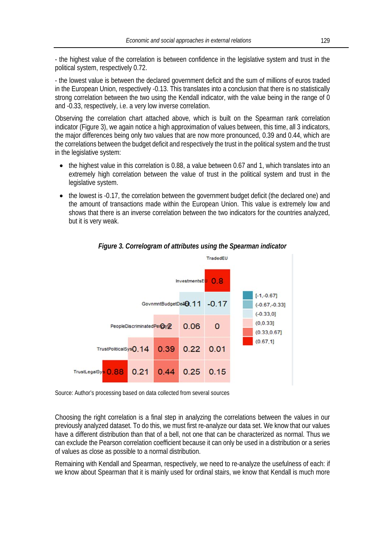- the highest value of the correlation is between confidence in the legislative system and trust in the political system, respectively 0.72.

- the lowest value is between the declared government deficit and the sum of millions of euros traded in the European Union, respectively -0.13. This translates into a conclusion that there is no statistically strong correlation between the two using the Kendall indicator, with the value being in the range of 0 and -0.33, respectively, i.e. a very low inverse correlation.

Observing the correlation chart attached above, which is built on the Spearman rank correlation indicator (Figure 3), we again notice a high approximation of values between, this time, all 3 indicators, the major differences being only two values that are now more pronounced, 0.39 and 0.44, which are the correlations between the budget deficit and respectively the trust in the political system and the trust in the legislative system:

- the highest value in this correlation is 0.88, a value between 0.67 and 1, which translates into an extremely high correlation between the value of trust in the political system and trust in the legislative system.
- the lowest is -0.17, the correlation between the government budget deficit (the declared one) and the amount of transactions made within the European Union. This value is extremely low and shows that there is an inverse correlation between the two indicators for the countries analyzed, but it is very weak.



## *Figure 3. Correlogram of attributes using the Spearman indicator*

Source: Author's processing based on data collected from several sources

Choosing the right correlation is a final step in analyzing the correlations between the values in our previously analyzed dataset. To do this, we must first re-analyze our data set. We know that our values have a different distribution than that of a bell, not one that can be characterized as normal. Thus we can exclude the Pearson correlation coefficient because it can only be used in a distribution or a series of values as close as possible to a normal distribution.

Remaining with Kendall and Spearman, respectively, we need to re-analyze the usefulness of each: if we know about Spearman that it is mainly used for ordinal stairs, we know that Kendall is much more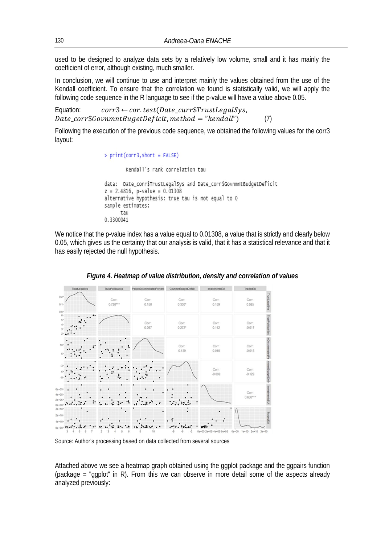used to be designed to analyze data sets by a relatively low volume, small and it has mainly the coefficient of error, although existing, much smaller.

In conclusion, we will continue to use and interpret mainly the values obtained from the use of the Kendall coefficient. To ensure that the correlation we found is statistically valid, we will apply the following code sequence in the R language to see if the p-value will have a value above 0.05.

Equation:  $corr3 \leftarrow cor.test(Date \text{ curr$TrustLeqals} vs.$  $Date \text{ corr}\$GovnmntBugetDeficit, method = "kendall")$  (7)

Following the execution of the previous code sequence, we obtained the following values for the corr3 layout:

```
> print(corr3, short = FALSE)
        Kendall's rank correlation tau
data: Date_corr$TrustLegalSys and Date_corr$GovnmntBudgetDeficit
z = 2.4816, p-value = 0.01308
alternative hypothesis: true tau is not equal to 0
sample estimates:
      tau
0.3300041
```
We notice that the p-value index has a value equal to 0.01308, a value that is strictly and clearly below 0.05, which gives us the certainty that our analysis is valid, that it has a statistical relevance and that it has easily rejected the null hypothesis.



## *Figure 4. Heatmap of value distribution, density and correlation of values*

Source: Author's processing based on data collected from several sources

Attached above we see a heatmap graph obtained using the ggplot package and the ggpairs function (package = "ggplot" in R). From this we can observe in more detail some of the aspects already analyzed previously: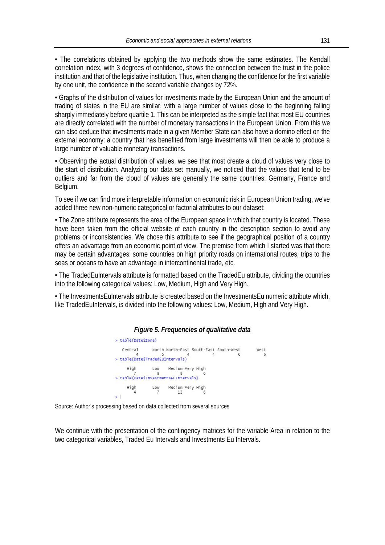• The correlations obtained by applying the two methods show the same estimates. The Kendall correlation index, with 3 degrees of confidence, shows the connection between the trust in the police institution and that of the legislative institution. Thus, when changing the confidence for the first variable by one unit, the confidence in the second variable changes by 72%.

• Graphs of the distribution of values for investments made by the European Union and the amount of trading of states in the EU are similar, with a large number of values close to the beginning falling sharply immediately before quartile 1. This can be interpreted as the simple fact that most EU countries are directly correlated with the number of monetary transactions in the European Union. From this we can also deduce that investments made in a given Member State can also have a domino effect on the external economy: a country that has benefited from large investments will then be able to produce a large number of valuable monetary transactions.

• Observing the actual distribution of values, we see that most create a cloud of values very close to the start of distribution. Analyzing our data set manually, we noticed that the values that tend to be outliers and far from the cloud of values are generally the same countries: Germany, France and Belgium.

To see if we can find more interpretable information on economic risk in European Union trading, we've added three new non-numeric categorical or factorial attributes to our dataset:

• The Zone attribute represents the area of the European space in which that country is located. These have been taken from the official website of each country in the description section to avoid any problems or inconsistencies. We chose this attribute to see if the geographical position of a country offers an advantage from an economic point of view. The premise from which I started was that there may be certain advantages: some countries on high priority roads on international routes, trips to the seas or oceans to have an advantage in intercontinental trade, etc.

• The TradedEuIntervals attribute is formatted based on the TradedEu attribute, dividing the countries into the following categorical values: Low, Medium, High and Very High.

• The InvestmentsEuIntervals attribute is created based on the InvestmentsEu numeric attribute which, like TradedEuIntervals, is divided into the following values: Low, Medium, High and Very High.



Source: Author's processing based on data collected from several sources

We continue with the presentation of the contingency matrices for the variable Area in relation to the two categorical variables, Traded Eu Intervals and Investments Eu Intervals.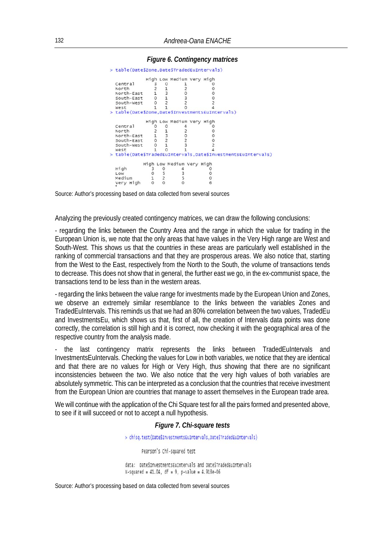|                                                             |         |                | High Low Medium Very High |  |  |  |
|-------------------------------------------------------------|---------|----------------|---------------------------|--|--|--|
| Central                                                     |         |                |                           |  |  |  |
| North                                                       |         |                |                           |  |  |  |
| North-East                                                  |         |                |                           |  |  |  |
| South-East                                                  | $\circ$ |                |                           |  |  |  |
| South-West                                                  |         |                |                           |  |  |  |
| West                                                        |         |                |                           |  |  |  |
| > table(Date\$Zone,Date\$InvestmentsEuIntervals)            |         |                |                           |  |  |  |
|                                                             |         |                | High Low Medium Very High |  |  |  |
| Central                                                     |         |                |                           |  |  |  |
| North                                                       |         |                |                           |  |  |  |
| North-East                                                  |         | $\frac{3}{2}$  |                           |  |  |  |
| South-East                                                  | $\circ$ |                |                           |  |  |  |
| South-West                                                  |         | $\overline{1}$ |                           |  |  |  |
| West                                                        |         |                |                           |  |  |  |
| > table(DateSTradedEuIntervals,DateSInvestmentsEuIntervals) |         |                |                           |  |  |  |
|                                                             |         |                | High Low Medium Very High |  |  |  |
| High                                                        |         |                |                           |  |  |  |
| Low                                                         |         |                |                           |  |  |  |
| Medium                                                      |         |                |                           |  |  |  |
| Very High                                                   | O       |                |                           |  |  |  |

#### *Figure 6. Contingency matrices*

Source: Author's processing based on data collected from several sources

Analyzing the previously created contingency matrices, we can draw the following conclusions:

- regarding the links between the Country Area and the range in which the value for trading in the European Union is, we note that the only areas that have values in the Very High range are West and South-West. This shows us that the countries in these areas are particularly well established in the ranking of commercial transactions and that they are prosperous areas. We also notice that, starting from the West to the East, respectively from the North to the South, the volume of transactions tends to decrease. This does not show that in general, the further east we go, in the ex-communist space, the transactions tend to be less than in the western areas.

- regarding the links between the value range for investments made by the European Union and Zones, we observe an extremely similar resemblance to the links between the variables Zones and TradedEuIntervals. This reminds us that we had an 80% correlation between the two values, TradedEu and InvestmentsEu, which shows us that, first of all, the creation of Intervals data points was done correctly, the correlation is still high and it is correct, now checking it with the geographical area of the respective country from the analysis made.

- the last contingency matrix represents the links between TradedEuIntervals and InvestmentsEuIntervals. Checking the values for Low in both variables, we notice that they are identical and that there are no values for High or Very High, thus showing that there are no significant inconsistencies between the two. We also notice that the very high values of both variables are absolutely symmetric. This can be interpreted as a conclusion that the countries that receive investment from the European Union are countries that manage to assert themselves in the European trade area.

We will continue with the application of the Chi Square test for all the pairs formed and presented above, to see if it will succeed or not to accept a null hypothesis.

#### *Figure 7. Chi-square tests*

> chisq.test(DateSInvestmentsEuIntervals,DateSTradedEuIntervals)

Pearson's Chi-squared test

data: DateSInvestmentsEuIntervals and DateSTradedEuIntervals X-squared = 41.04, df = 9, p-value = 4.918e-06

Source: Author's processing based on data collected from several sources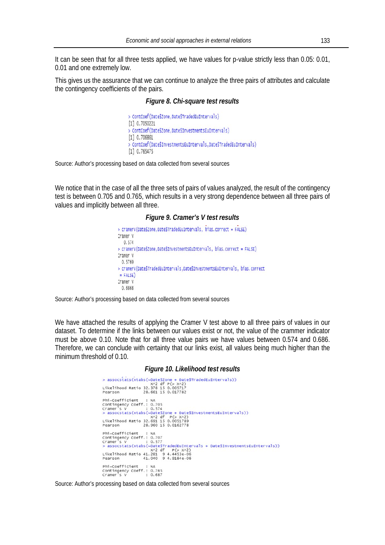It can be seen that for all three tests applied, we have values for p-value strictly less than 0.05: 0.01, 0.01 and one extremely low.

This gives us the assurance that we can continue to analyze the three pairs of attributes and calculate the contingency coefficients of the pairs.

#### *Figure 8. Chi-square test results*

```
> ContCoef(DateSZone,DateSTradedEuIntervals)
[1] 0.7050221
> ContCoef (DateSZone, DateSInvestmentsEuIntervals)
[1] 0.706861
> ContCoef(DateSInvestmentsEuIntervals,DateSTradedEuIntervals)
[1] 0.765475
```
Source: Author's processing based on data collected from several sources

We notice that in the case of all the three sets of pairs of values analyzed, the result of the contingency test is between 0.705 and 0.765, which results in a very strong dependence between all three pairs of values and implicitly between all three.

#### *Figure 9. Cramer's V test results*

```
> cramerv(DateSzone.DateSTradedEuIntervals, bias.correct = FALSE)
Cramer V
  0.574
> cramerV(DateSZone,DateSInvestmentsEuIntervals, bias.correct = FALSE)
Cramer V
 0.5769
> cramerV(DateSTradedEuIntervals,DateSInvestmentsEuIntervals, bias.correct
= FALSE)
Cramer V
 0.6868
```
Source: Author's processing based on data collected from several sources

We have attached the results of applying the Cramer V test above to all three pairs of values in our dataset. To determine if the links between our values exist or not, the value of the crammer indicator must be above 0.10. Note that for all three value pairs we have values between 0.574 and 0.686. Therefore, we can conclude with certainty that our links exist, all values being much higher than the minimum threshold of 0.10.

#### *Figure 10. Likelihood test results*

```
> assocstats(xtabs(~DateSzone + DateSTradedEuIntervals))
 XA2 df P(> XA2)<br>Likelihood Ratio 32.378 15 0.005717<br>Pearson 28.661 15 0.017782
Phi-Coefficient<br>
contingency coeff.: 0.705<br>
Cramer's V<br>
> assocstats(xtabs(-CateSZone + DateSInvestmentsEuIntervals))<br>
x<sup>x2</sup> df P(> x^2)<br>
Likelihood Ratio 32.691 15 0.0051789<br>
Prophetary 2011 0.0162778
 x2 df P(> xx2)<br>Likelihood Ratio 32.691 15 0.0051789<br>Pearson 28.960 15 0.0162778
Phi-Coefficient : NA<br>
Contingency Coeff: 0.707<br>
Cramer's V<br>
20.907 Cramer's V<br>
20.907<br>
20.907<br>
20.907<br>
20.907<br>
20.907<br>
20.97<br>
20.97<br>
20.97<br>
20.97<br>
20.97<br>
20.97<br>
20.97<br>
20.97<br>
20.97<br>
20.97<br>
20.99<br>
4.4453e-06<br>
20.99<br>
20.99<br>

 Phi-Coefficient : NA<br>Contingency Coeff.: 0.765<br>Cramer's V : 0.687
```
Source: Author's processing based on data collected from several sources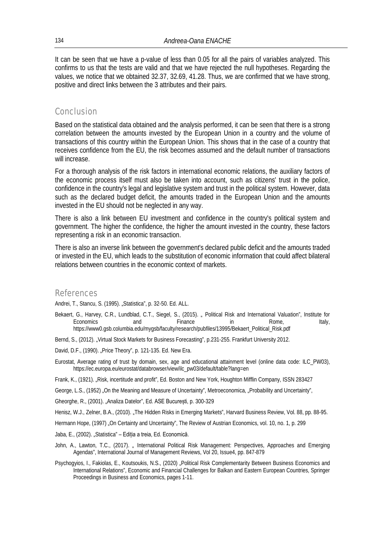It can be seen that we have a p-value of less than 0.05 for all the pairs of variables analyzed. This confirms to us that the tests are valid and that we have rejected the null hypotheses. Regarding the values, we notice that we obtained 32.37, 32.69, 41.28. Thus, we are confirmed that we have strong, positive and direct links between the 3 attributes and their pairs.

# **Conclusion**

Based on the statistical data obtained and the analysis performed, it can be seen that there is a strong correlation between the amounts invested by the European Union in a country and the volume of transactions of this country within the European Union. This shows that in the case of a country that receives confidence from the EU, the risk becomes assumed and the default number of transactions will increase.

For a thorough analysis of the risk factors in international economic relations, the auxiliary factors of the economic process itself must also be taken into account, such as citizens' trust in the police, confidence in the country's legal and legislative system and trust in the political system. However, data such as the declared budget deficit, the amounts traded in the European Union and the amounts invested in the EU should not be neglected in any way.

There is also a link between EU investment and confidence in the country's political system and government. The higher the confidence, the higher the amount invested in the country, these factors representing a risk in an economic transaction.

There is also an inverse link between the government's declared public deficit and the amounts traded or invested in the EU, which leads to the substitution of economic information that could affect bilateral relations between countries in the economic context of markets.

### References

Andrei, T., Stancu, S. (1995). "Statistica", p. 32-50. Ed. ALL.

- Bekaert, G., Harvey, C.R., Lundblad, C.T., Siegel, S., (2015). " Political Risk and International Valuation", Institute for Economics and Finance in Rome, Italy, https://www0.gsb.columbia.edu/mygsb/faculty/research/pubfiles/13995/Bekaert\_Political\_Risk.pdf
- Bernd, S., (2012). "Virtual Stock Markets for Business Forecasting", p.231-255. Frankfurt University 2012.

David, D.F., (1990). "Price Theory", p. 121-135. Ed. New Era.

Eurostat, Average rating of trust by domain, sex, age and educational attainment level (online data code: ILC\_PW03), https://ec.europa.eu/eurostat/databrowser/view/ilc\_pw03/default/table?lang=en

Frank, K., (1921). "Risk, incertitude and profit", Ed. Boston and New York, Houghton Mifflin Company, ISSN 283427

George, L.S., (1952) "On the Meaning and Measure of Uncertainty", Metroeconomica, "Probability and Uncertainty",

Gheorghe, R., (2001). "Analiza Datelor", Ed. ASE București, p. 300-329

Henisz, W.J., Zelner, B.A., (2010). "The Hidden Risks in Emerging Markets", Harvard Business Review, Vol. 88, pp. 88-95.

Hermann Hope, (1997) "On Certainty and Uncertainty", The Review of Austrian Economics, vol. 10, no. 1, p. 299

- Jaba, E., (2002). "Statistica" Ediția a treia, Ed. Economică.
- John, A., Lawton, T.C., (2017). "International Political Risk Management: Perspectives, Approaches and Emerging Agendas", International Journal of Management Reviews, Vol 20, Issue4, pp. 847-879
- Psychogyios, I., Fakiolas, E., Koutsoukis, N.S., (2020) "Political Risk Complementarity Between Business Economics and International Relations", Economic and Financial Challenges for Balkan and Eastern European Countries, Springer Proceedings in Business and Economics, pages 1-11.